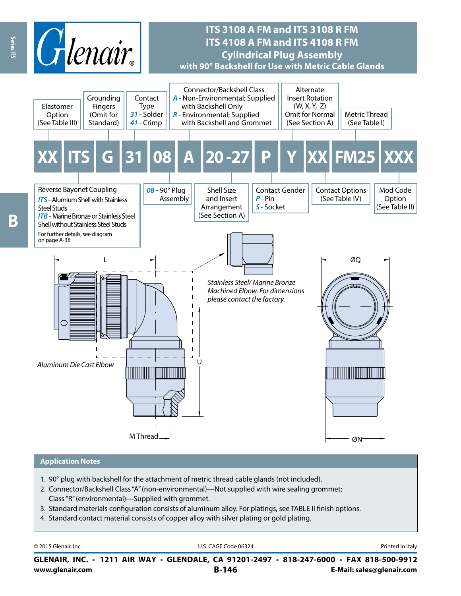

## **ITS 3108 A FM and ITS 3108 R FM ITS 4108 A FM and ITS 4108 R FM Cylindrical Plug Assembly with 90° Backshell for Use with Metric Cable Glands**



#### **Application Notes**

- 1. 90° plug with backshell for the attachment of metric thread cable glands (not included).
- 2. Connector/Backshell Class "A" (non-environmental)—Not supplied with wire sealing grommet; Class "R" (environmental)—Supplied with grommet.
- 3. Standard materials configuration consists of aluminum alloy. For platings, see TABLE II finish options.
- 4. Standard contact material consists of copper alloy with silver plating or gold plating.

| © 2015 Glenair, Inc. | . CAGF<br>ı٢<br>Code 06324 | Printed in Italy         |
|----------------------|----------------------------|--------------------------|
| INC.                 | <b>1211 AIR WAY</b>        | $\cdot$ FAX 818-500-9912 |
| <b>GLENAIR.</b>      | • GLENDALE, CA 91201-2497  | $\cdot$ 818-247-6000     |

**www.glenair.com B-146 E-Mail: sales@glenair.com GLENAIR, INC. • 1211 AIR WAY • GLENDALE, CA 91201-2497 • 818-247-6000 • FAX 818-500-9912**

Series ITS